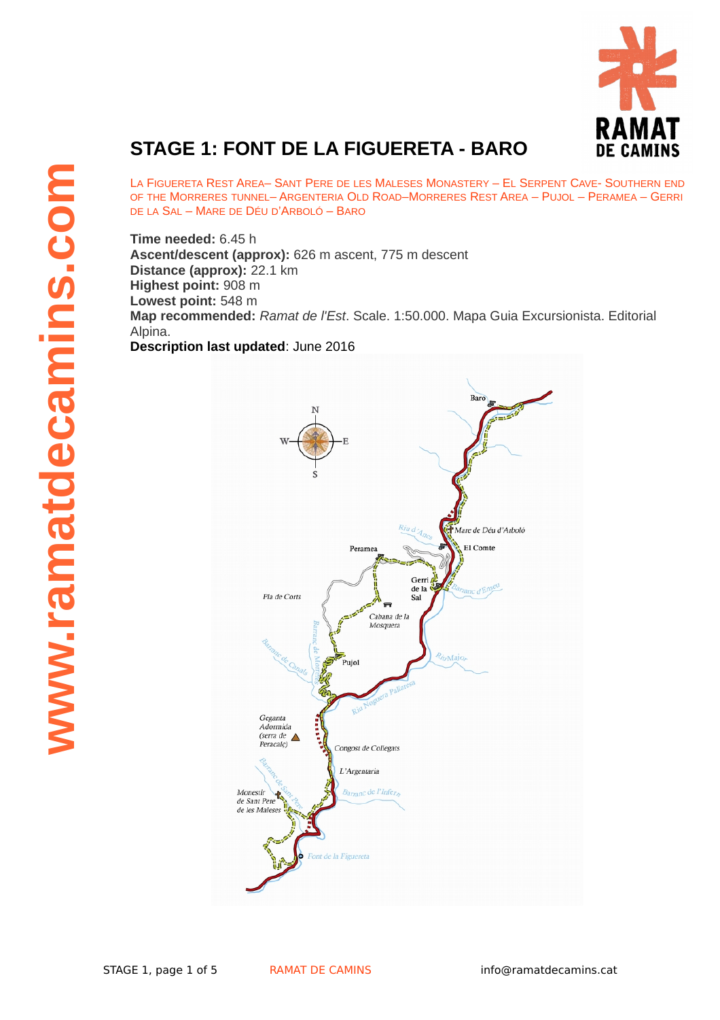

## **STAGE 1: FONT DE LA FIGUERETA - BARO**

LA FIGUERETA REST AREA– SANT PERE DE LES MALESES MONASTERY – EL SERPENT CAVE- SOUTHERN END OF THE MORRERES TUNNEL– ARGENTERIA OLD ROAD–MORRERES REST AREA – PUJOL – PERAMEA – GERRI DE LA SAL – MARE DE DÉU D'ARBOLÓ – BARO

**Time needed:** 6.45 h **Ascent/descent (approx):** 626 m ascent, 775 m descent **Distance (approx):** 22.1 km **Highest point:** 908 m **Lowest point:** 548 m **Map recommended:** *Ramat de l'Est*. Scale. 1:50.000. Mapa Guia Excursionista. Editorial Alpina. **Description last updated**: June 2016

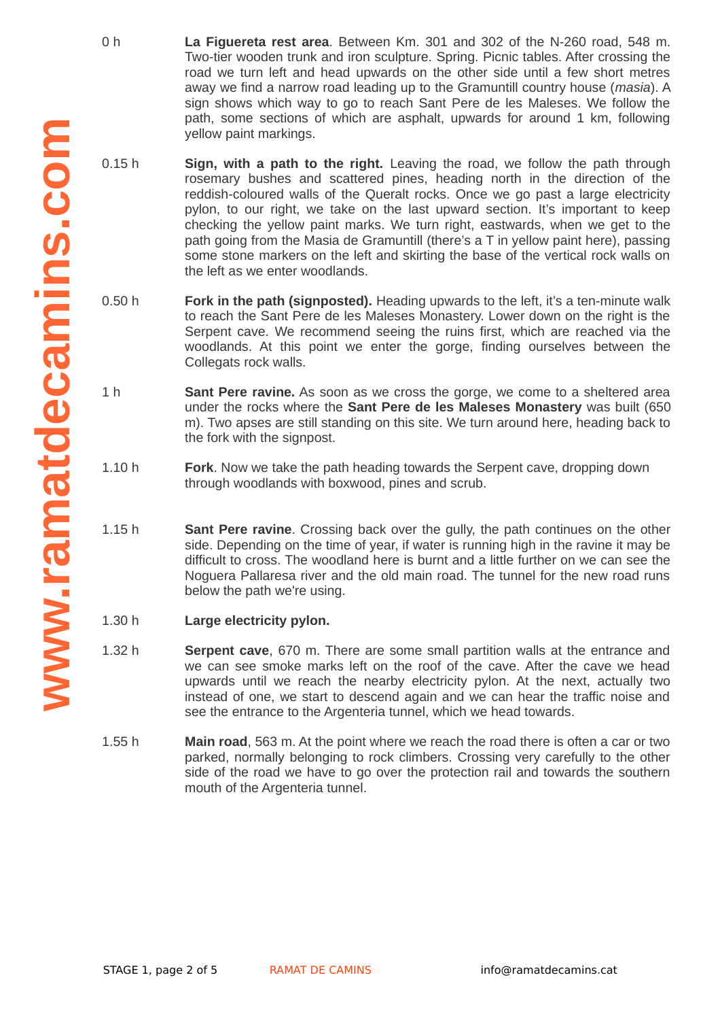- 0 h **La Figuereta rest area**. Between Km. 301 and 302 of the N-260 road, 548 m. Two-tier wooden trunk and iron sculpture. Spring. Picnic tables. After crossing the road we turn left and head upwards on the other side until a few short metres away we find a narrow road leading up to the Gramuntill country house (*masia*). A sign shows which way to go to reach Sant Pere de les Maleses. We follow the path, some sections of which are asphalt, upwards for around 1 km, following yellow paint markings.
- $0.15h$ **Sign, with a path to the right.** Leaving the road, we follow the path through rosemary bushes and scattered pines, heading north in the direction of the reddish-coloured walls of the Queralt rocks. Once we go past a large electricity pylon, to our right, we take on the last upward section. It's important to keep checking the yellow paint marks. We turn right, eastwards, when we get to the path going from the Masia de Gramuntill (there's a T in yellow paint here), passing some stone markers on the left and skirting the base of the vertical rock walls on the left as we enter woodlands.
- 0.50 h **Fork in the path (signposted).** Heading upwards to the left, it's a ten-minute walk to reach the Sant Pere de les Maleses Monastery. Lower down on the right is the Serpent cave. We recommend seeing the ruins first, which are reached via the woodlands. At this point we enter the gorge, finding ourselves between the Collegats rock walls.
- 1 h **Sant Pere ravine.** As soon as we cross the gorge, we come to a sheltered area under the rocks where the **Sant Pere de les Maleses Monastery** was built (650 m). Two apses are still standing on this site. We turn around here, heading back to the fork with the signpost.
- 1.10 h **Fork**. Now we take the path heading towards the Serpent cave, dropping down through woodlands with boxwood, pines and scrub.
- 1.15 h **Sant Pere ravine**. Crossing back over the gully, the path continues on the other side. Depending on the time of year, if water is running high in the ravine it may be difficult to cross. The woodland here is burnt and a little further on we can see the Noguera Pallaresa river and the old main road. The tunnel for the new road runs below the path we're using.
- 1.30 h **Large electricity pylon.**
- 1.32 h **Serpent cave**, 670 m. There are some small partition walls at the entrance and we can see smoke marks left on the roof of the cave. After the cave we head upwards until we reach the nearby electricity pylon. At the next, actually two instead of one, we start to descend again and we can hear the traffic noise and see the entrance to the Argenteria tunnel, which we head towards.
- 1.55 h **Main road**, 563 m. At the point where we reach the road there is often a car or two parked, normally belonging to rock climbers. Crossing very carefully to the other side of the road we have to go over the protection rail and towards the southern mouth of the Argenteria tunnel.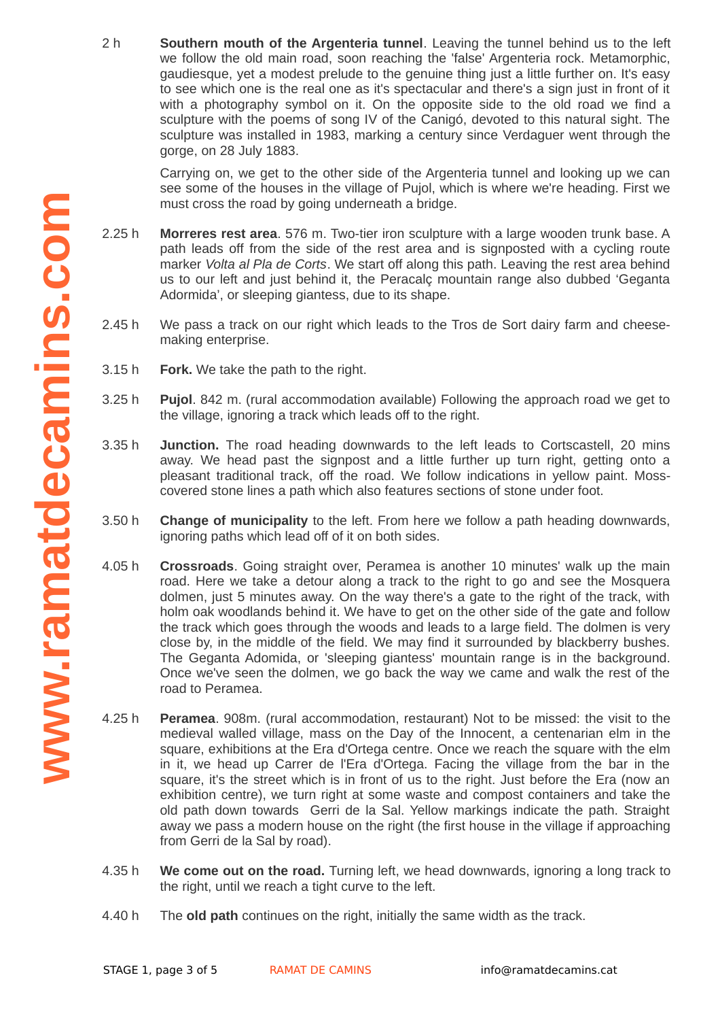2 h **Southern mouth of the Argenteria tunnel**. Leaving the tunnel behind us to the left we follow the old main road, soon reaching the 'false' Argenteria rock. Metamorphic, gaudiesque, yet a modest prelude to the genuine thing just a little further on. It's easy to see which one is the real one as it's spectacular and there's a sign just in front of it with a photography symbol on it. On the opposite side to the old road we find a sculpture with the poems of song IV of the Canigó, devoted to this natural sight. The sculpture was installed in 1983, marking a century since Verdaguer went through the gorge, on 28 July 1883.

Carrying on, we get to the other side of the Argenteria tunnel and looking up we can see some of the houses in the village of Pujol, which is where we're heading. First we must cross the road by going underneath a bridge.

- $2.25h$ **Morreres rest area.** 576 m. Two-tier iron sculpture with a large wooden trunk base. A path leads off from the side of the rest area and is signposted with a cycling route marker *Volta al Pla de Corts*. We start off along this path. Leaving the rest area behind us to our left and just behind it, the Peracalç mountain range also dubbed 'Geganta Adormida', or sleeping giantess, due to its shape.
- 2.45 h We pass a track on our right which leads to the Tros de Sort dairy farm and cheesemaking enterprise.
- 3.15 h **Fork.** We take the path to the right.
- 3.25 h **Pujol**. 842 m. (rural accommodation available) Following the approach road we get to the village, ignoring a track which leads off to the right.
- 3.35 h **Junction.** The road heading downwards to the left leads to Cortscastell, 20 mins away. We head past the signpost and a little further up turn right, getting onto a pleasant traditional track, off the road. We follow indications in yellow paint. Mosscovered stone lines a path which also features sections of stone under foot.
- 3.50 h **Change of municipality** to the left. From here we follow a path heading downwards, ignoring paths which lead off of it on both sides.
- 4.05 h **Crossroads**. Going straight over, Peramea is another 10 minutes' walk up the main road. Here we take a detour along a track to the right to go and see the Mosquera dolmen, just 5 minutes away. On the way there's a gate to the right of the track, with holm oak woodlands behind it. We have to get on the other side of the gate and follow the track which goes through the woods and leads to a large field. The dolmen is very close by, in the middle of the field. We may find it surrounded by blackberry bushes. The Geganta Adomida, or 'sleeping giantess' mountain range is in the background. Once we've seen the dolmen, we go back the way we came and walk the rest of the road to Peramea.
- 4.25 h **Peramea**. 908m. (rural accommodation, restaurant) Not to be missed: the visit to the medieval walled village, mass on the Day of the Innocent, a centenarian elm in the square, exhibitions at the Era d'Ortega centre. Once we reach the square with the elm in it, we head up Carrer de l'Era d'Ortega. Facing the village from the bar in the square, it's the street which is in front of us to the right. Just before the Era (now an exhibition centre), we turn right at some waste and compost containers and take the old path down towards Gerri de la Sal. Yellow markings indicate the path. Straight away we pass a modern house on the right (the first house in the village if approaching from Gerri de la Sal by road).
- 4.35 h **We come out on the road.** Turning left, we head downwards, ignoring a long track to the right, until we reach a tight curve to the left.
- 4.40 h The **old path** continues on the right, initially the same width as the track.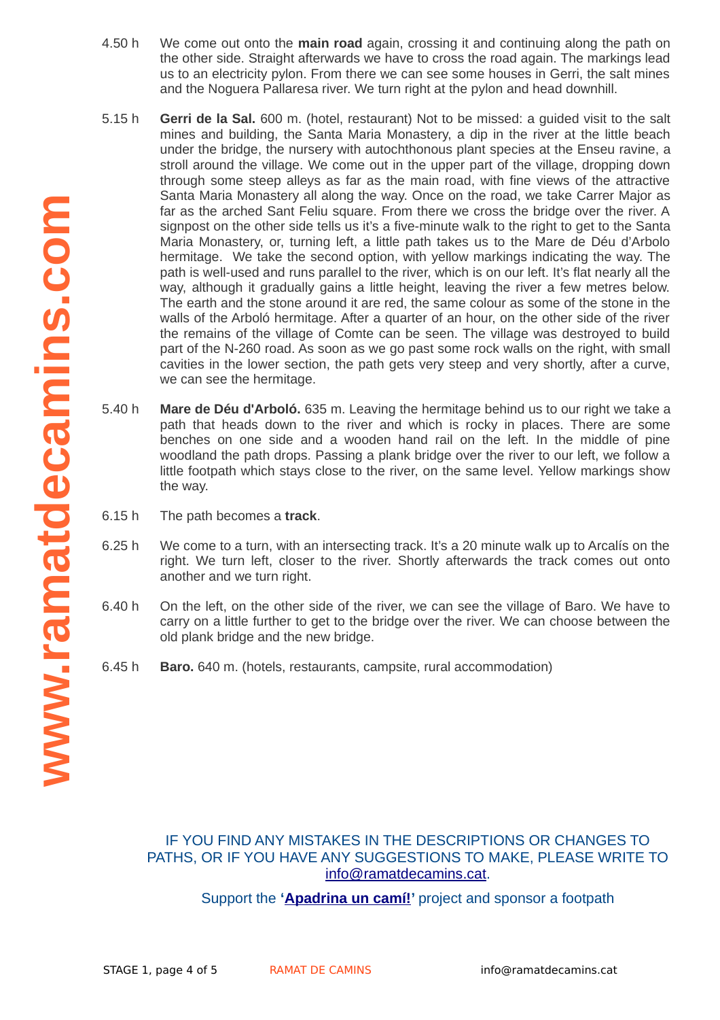- 4.50 h We come out onto the **main road** again, crossing it and continuing along the path on the other side. Straight afterwards we have to cross the road again. The markings lead us to an electricity pylon. From there we can see some houses in Gerri, the salt mines and the Noguera Pallaresa river. We turn right at the pylon and head downhill.
- 5.15 h **Gerri de la Sal.** 600 m. (hotel, restaurant) Not to be missed: a guided visit to the salt mines and building, the Santa Maria Monastery, a dip in the river at the little beach under the bridge, the nursery with autochthonous plant species at the Enseu ravine, a stroll around the village. We come out in the upper part of the village, dropping down through some steep alleys as far as the main road, with fine views of the attractive Santa Maria Monastery all along the way. Once on the road, we take Carrer Major as far as the arched Sant Feliu square. From there we cross the bridge over the river. A signpost on the other side tells us it's a five-minute walk to the right to get to the Santa Maria Monastery, or, turning left, a little path takes us to the Mare de Déu d'Arbolo hermitage. We take the second option, with yellow markings indicating the way. The path is well-used and runs parallel to the river, which is on our left. It's flat nearly all the way, although it gradually gains a little height, leaving the river a few metres below. The earth and the stone around it are red, the same colour as some of the stone in the walls of the Arboló hermitage. After a quarter of an hour, on the other side of the river the remains of the village of Comte can be seen. The village was destroyed to build part of the N-260 road. As soon as we go past some rock walls on the right, with small cavities in the lower section, the path gets very steep and very shortly, after a curve, we can see the hermitage.
- 5.40 h **Mare de Déu d'Arboló.** 635 m. Leaving the hermitage behind us to our right we take a path that heads down to the river and which is rocky in places. There are some benches on one side and a wooden hand rail on the left. In the middle of pine woodland the path drops. Passing a plank bridge over the river to our left, we follow a little footpath which stays close to the river, on the same level. Yellow markings show the way.
- 6.15 h The path becomes a **track**.
- 6.25 h We come to a turn, with an intersecting track. It's a 20 minute walk up to Arcalís on the right. We turn left, closer to the river. Shortly afterwards the track comes out onto another and we turn right.
- 6.40 h On the left, on the other side of the river, we can see the village of Baro. We have to carry on a little further to get to the bridge over the river. We can choose between the old plank bridge and the new bridge.
- 6.45 h **Baro.** 640 m. (hotels, restaurants, campsite, rural accommodation)

## IF YOU FIND ANY MISTAKES IN THE DESCRIPTIONS OR CHANGES TO PATHS, OR IF YOU HAVE ANY SUGGESTIONS TO MAKE, PLEASE WRITE TO info@ramatdecamins.cat.

Support the **['Apadrina un camí!'](http://www.ramatdecamins.cat/camins-vells/vols-apadrinar-un-cami/)** project and sponsor a footpath